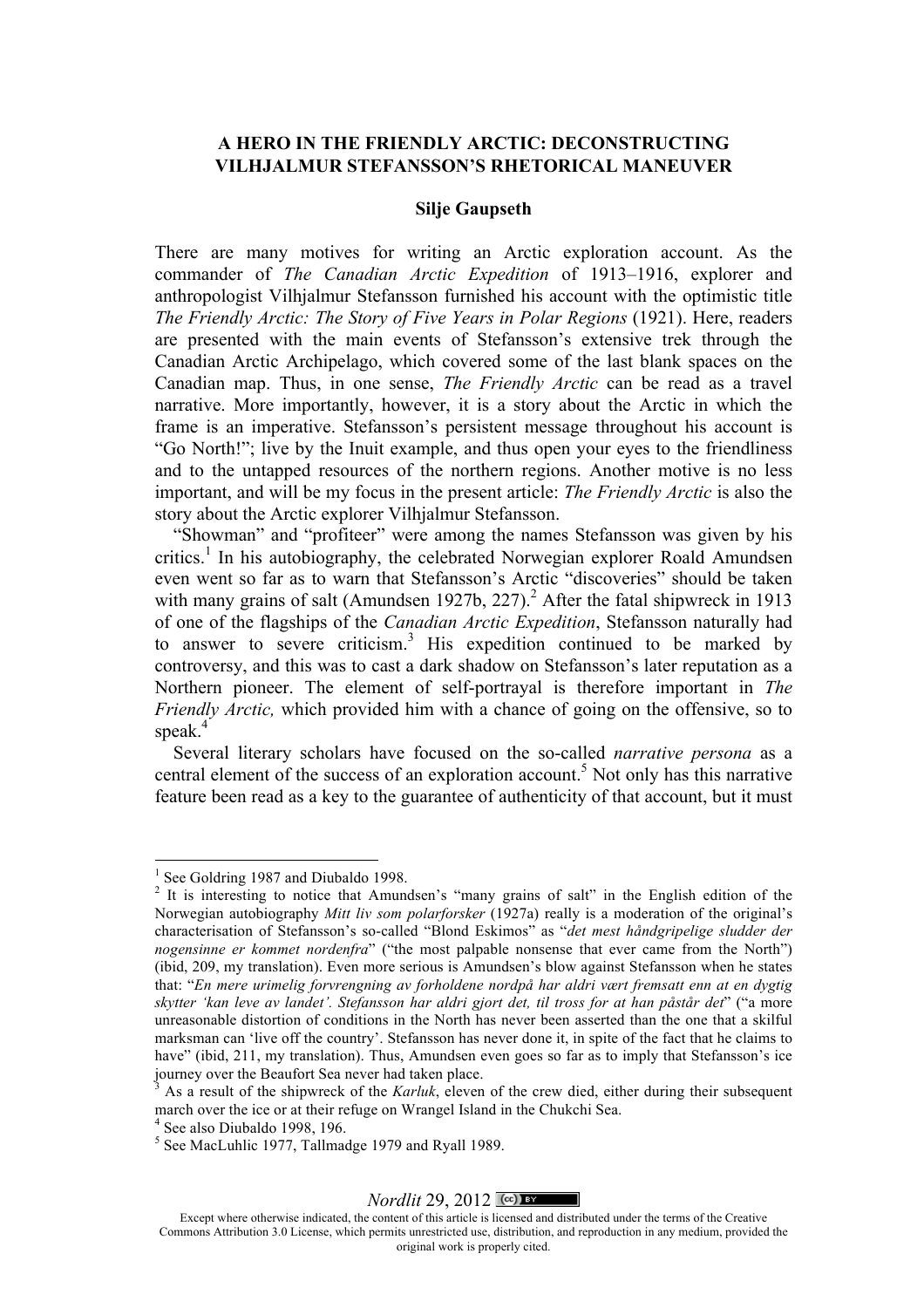## **A HERO IN THE FRIENDLY ARCTIC: DECONSTRUCTING VILHJALMUR STEFANSSON'S RHETORICAL MANEUVER**

#### **Silje Gaupseth**

There are many motives for writing an Arctic exploration account. As the commander of *The Canadian Arctic Expedition* of 1913–1916, explorer and anthropologist Vilhjalmur Stefansson furnished his account with the optimistic title *The Friendly Arctic: The Story of Five Years in Polar Regions* (1921). Here, readers are presented with the main events of Stefansson's extensive trek through the Canadian Arctic Archipelago, which covered some of the last blank spaces on the Canadian map. Thus, in one sense, *The Friendly Arctic* can be read as a travel narrative. More importantly, however, it is a story about the Arctic in which the frame is an imperative. Stefansson's persistent message throughout his account is "Go North!"; live by the Inuit example, and thus open your eyes to the friendliness and to the untapped resources of the northern regions. Another motive is no less important, and will be my focus in the present article: *The Friendly Arctic* is also the story about the Arctic explorer Vilhjalmur Stefansson.

"Showman" and "profiteer" were among the names Stefansson was given by his critics.<sup>1</sup> In his autobiography, the celebrated Norwegian explorer Roald Amundsen even went so far as to warn that Stefansson's Arctic "discoveries" should be taken with many grains of salt (Amundsen 1927b,  $227$ ).<sup>2</sup> After the fatal shipwreck in 1913 of one of the flagships of the *Canadian Arctic Expedition*, Stefansson naturally had to answer to severe criticism.<sup>3</sup> His expedition continued to be marked by controversy, and this was to cast a dark shadow on Stefansson's later reputation as a Northern pioneer. The element of self-portrayal is therefore important in *The Friendly Arctic,* which provided him with a chance of going on the offensive, so to speak.<sup>4</sup>

Several literary scholars have focused on the so-called *narrative persona* as a central element of the success of an exploration account.<sup>5</sup> Not only has this narrative feature been read as a key to the guarantee of authenticity of that account, but it must

#### *Nordlit* 29, 2012  $\sqrt{(0.189)}$

Except where otherwise indicated, the content of this article is licensed and distributed under the terms of the Creative Commons Attribution 3.0 License, which permits unrestricted use, distribution, and reproduction in any medium, provided the original work is properly cited.

<sup>&</sup>lt;sup>1</sup> See Goldring 1987 and Diubaldo 1998.

<sup>&</sup>lt;sup>2</sup> It is interesting to notice that Amundsen's "many grains of salt" in the English edition of the Norwegian autobiography *Mitt liv som polarforsker* (1927a) really is a moderation of the original's characterisation of Stefansson's so-called "Blond Eskimos" as "*det mest håndgripelige sludder der nogensinne er kommet nordenfra*" ("the most palpable nonsense that ever came from the North") (ibid, 209, my translation). Even more serious is Amundsen's blow against Stefansson when he states that: "*En mere urimelig forvrengning av forholdene nordpå har aldri vært fremsatt enn at en dygtig skytter 'kan leve av landet'. Stefansson har aldri gjort det, til tross for at han påstår det*" ("a more unreasonable distortion of conditions in the North has never been asserted than the one that a skilful marksman can 'live off the country'. Stefansson has never done it, in spite of the fact that he claims to have" (ibid, 211, my translation). Thus, Amundsen even goes so far as to imply that Stefansson's ice journey over the Beaufort Sea never had taken place.

<sup>3</sup> As a result of the shipwreck of the *Karluk*, eleven of the crew died, either during their subsequent march over the ice or at their refuge on Wrangel Island in the Chukchi Sea.

 $4$  See also Diubaldo 1998, 196.

<sup>5</sup> See MacLuhlic 1977, Tallmadge 1979 and Ryall 1989.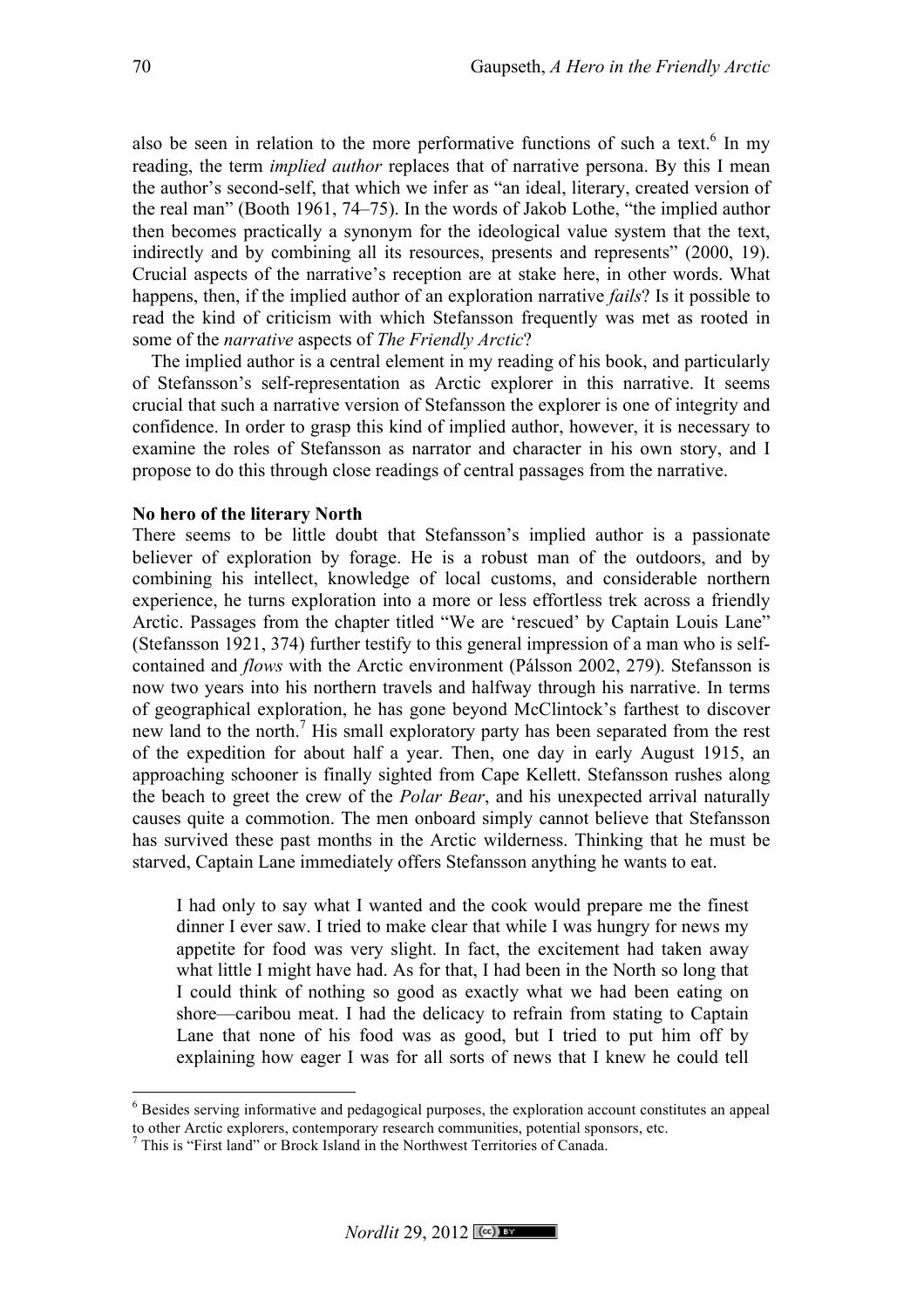also be seen in relation to the more performative functions of such a text.<sup>6</sup> In mv reading, the term *implied author* replaces that of narrative persona. By this I mean the author's second-self, that which we infer as "an ideal, literary, created version of the real man" (Booth 1961, 74–75). In the words of Jakob Lothe, "the implied author then becomes practically a synonym for the ideological value system that the text, indirectly and by combining all its resources, presents and represents" (2000, 19). Crucial aspects of the narrative's reception are at stake here, in other words. What happens, then, if the implied author of an exploration narrative *fails*? Is it possible to read the kind of criticism with which Stefansson frequently was met as rooted in some of the *narrative* aspects of *The Friendly Arctic*?

The implied author is a central element in my reading of his book, and particularly of Stefansson's self-representation as Arctic explorer in this narrative. It seems crucial that such a narrative version of Stefansson the explorer is one of integrity and confidence. In order to grasp this kind of implied author, however, it is necessary to examine the roles of Stefansson as narrator and character in his own story, and I propose to do this through close readings of central passages from the narrative.

### **No hero of the literary North**

There seems to be little doubt that Stefansson's implied author is a passionate believer of exploration by forage. He is a robust man of the outdoors, and by combining his intellect, knowledge of local customs, and considerable northern experience, he turns exploration into a more or less effortless trek across a friendly Arctic. Passages from the chapter titled "We are 'rescued' by Captain Louis Lane" (Stefansson 1921, 374) further testify to this general impression of a man who is selfcontained and *flows* with the Arctic environment (Pálsson 2002, 279). Stefansson is now two years into his northern travels and halfway through his narrative. In terms of geographical exploration, he has gone beyond McClintock's farthest to discover new land to the north.<sup>7</sup> His small exploratory party has been separated from the rest of the expedition for about half a year. Then, one day in early August 1915, an approaching schooner is finally sighted from Cape Kellett. Stefansson rushes along the beach to greet the crew of the *Polar Bear*, and his unexpected arrival naturally causes quite a commotion. The men onboard simply cannot believe that Stefansson has survived these past months in the Arctic wilderness. Thinking that he must be starved, Captain Lane immediately offers Stefansson anything he wants to eat.

I had only to say what I wanted and the cook would prepare me the finest dinner I ever saw. I tried to make clear that while I was hungry for news my appetite for food was very slight. In fact, the excitement had taken away what little I might have had. As for that, I had been in the North so long that I could think of nothing so good as exactly what we had been eating on shore—caribou meat. I had the delicacy to refrain from stating to Captain Lane that none of his food was as good, but I tried to put him off by explaining how eager I was for all sorts of news that I knew he could tell

 <sup>6</sup> Besides serving informative and pedagogical purposes, the exploration account constitutes an appeal to other Arctic explorers, contemporary research communities, potential sponsors, etc.

<sup>7</sup> This is "First land" or Brock Island in the Northwest Territories of Canada.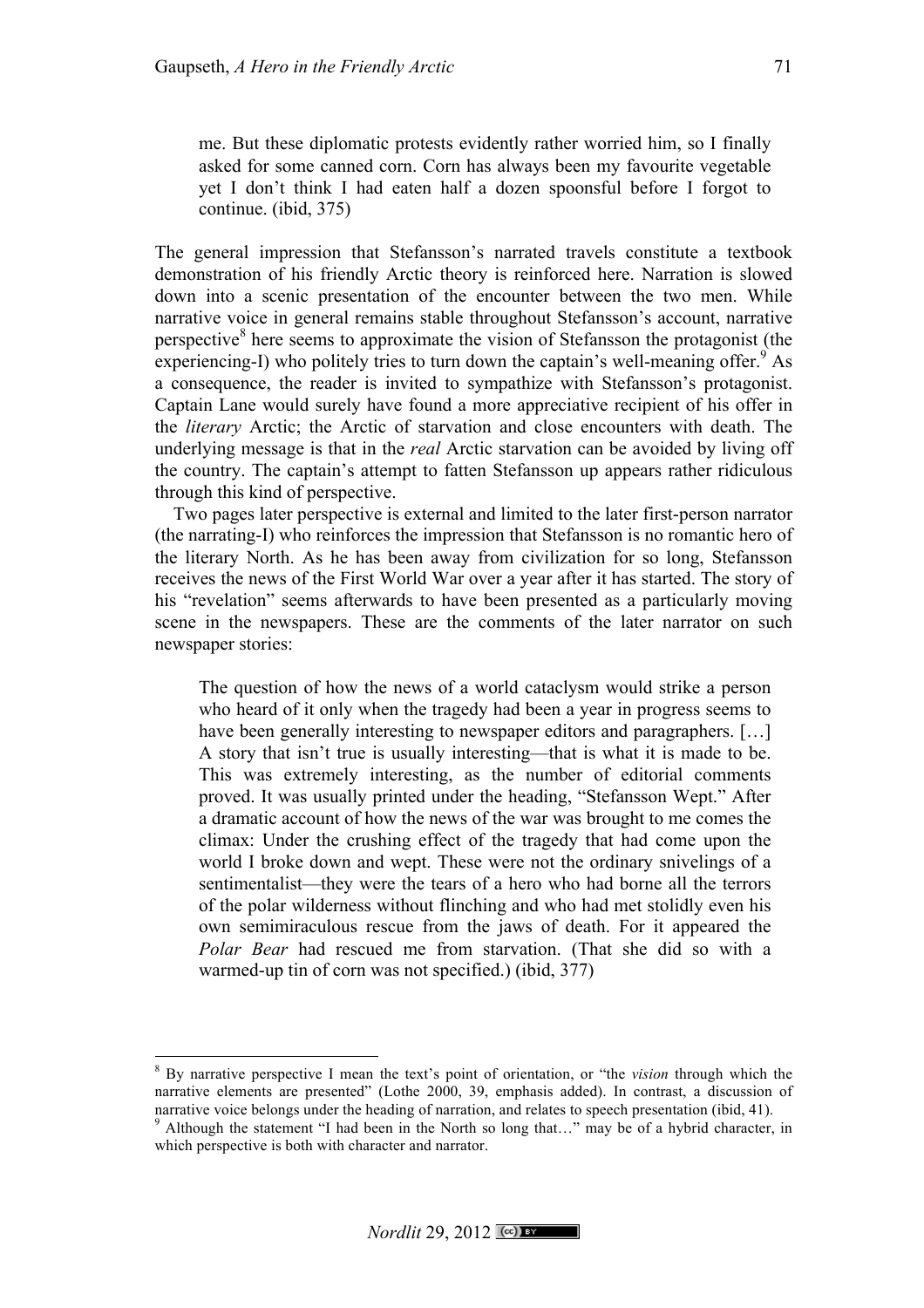me. But these diplomatic protests evidently rather worried him, so I finally asked for some canned corn. Corn has always been my favourite vegetable yet I don't think I had eaten half a dozen spoonsful before I forgot to continue. (ibid, 375)

The general impression that Stefansson's narrated travels constitute a textbook demonstration of his friendly Arctic theory is reinforced here. Narration is slowed down into a scenic presentation of the encounter between the two men. While narrative voice in general remains stable throughout Stefansson's account, narrative perspective $\delta$  here seems to approximate the vision of Stefansson the protagonist (the experiencing-I) who politely tries to turn down the captain's well-meaning offer.<sup>9</sup> As a consequence, the reader is invited to sympathize with Stefansson's protagonist. Captain Lane would surely have found a more appreciative recipient of his offer in the *literary* Arctic; the Arctic of starvation and close encounters with death. The underlying message is that in the *real* Arctic starvation can be avoided by living off the country. The captain's attempt to fatten Stefansson up appears rather ridiculous through this kind of perspective.

Two pages later perspective is external and limited to the later first-person narrator (the narrating-I) who reinforces the impression that Stefansson is no romantic hero of the literary North. As he has been away from civilization for so long, Stefansson receives the news of the First World War over a year after it has started. The story of his "revelation" seems afterwards to have been presented as a particularly moving scene in the newspapers. These are the comments of the later narrator on such newspaper stories:

The question of how the news of a world cataclysm would strike a person who heard of it only when the tragedy had been a year in progress seems to have been generally interesting to newspaper editors and paragraphers. [...] A story that isn't true is usually interesting—that is what it is made to be. This was extremely interesting, as the number of editorial comments proved. It was usually printed under the heading, "Stefansson Wept." After a dramatic account of how the news of the war was brought to me comes the climax: Under the crushing effect of the tragedy that had come upon the world I broke down and wept. These were not the ordinary snivelings of a sentimentalist—they were the tears of a hero who had borne all the terrors of the polar wilderness without flinching and who had met stolidly even his own semimiraculous rescue from the jaws of death. For it appeared the *Polar Bear* had rescued me from starvation. (That she did so with a warmed-up tin of corn was not specified.) (ibid, 377)

 <sup>8</sup> By narrative perspective I mean the text's point of orientation, or "the *vision* through which the narrative elements are presented" (Lothe 2000, 39, emphasis added). In contrast, a discussion of narrative voice belongs under the heading of narration, and relates to speech presentation (ibid, 41).<br><sup>9</sup> Although the statement "I had been in the North so long that..." may be of a hybrid character, in

which perspective is both with character and narrator.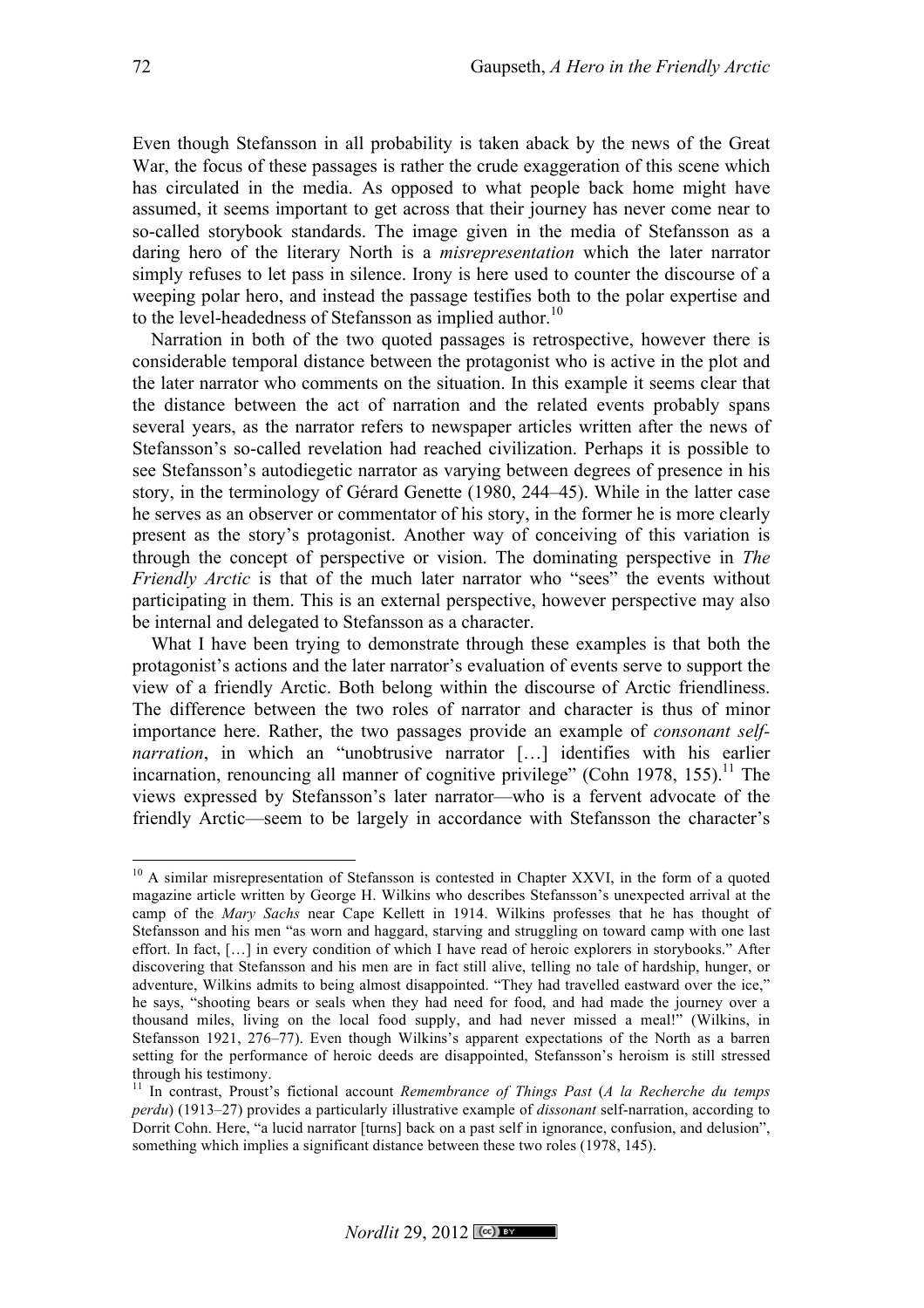Even though Stefansson in all probability is taken aback by the news of the Great War, the focus of these passages is rather the crude exaggeration of this scene which has circulated in the media. As opposed to what people back home might have assumed, it seems important to get across that their journey has never come near to so-called storybook standards. The image given in the media of Stefansson as a daring hero of the literary North is a *misrepresentation* which the later narrator simply refuses to let pass in silence. Irony is here used to counter the discourse of a weeping polar hero, and instead the passage testifies both to the polar expertise and to the level-headedness of Stefansson as implied author.<sup>10</sup>

Narration in both of the two quoted passages is retrospective, however there is considerable temporal distance between the protagonist who is active in the plot and the later narrator who comments on the situation. In this example it seems clear that the distance between the act of narration and the related events probably spans several years, as the narrator refers to newspaper articles written after the news of Stefansson's so-called revelation had reached civilization. Perhaps it is possible to see Stefansson's autodiegetic narrator as varying between degrees of presence in his story, in the terminology of Gérard Genette (1980, 244–45). While in the latter case he serves as an observer or commentator of his story, in the former he is more clearly present as the story's protagonist. Another way of conceiving of this variation is through the concept of perspective or vision. The dominating perspective in *The Friendly Arctic* is that of the much later narrator who "sees" the events without participating in them. This is an external perspective, however perspective may also be internal and delegated to Stefansson as a character.

What I have been trying to demonstrate through these examples is that both the protagonist's actions and the later narrator's evaluation of events serve to support the view of a friendly Arctic. Both belong within the discourse of Arctic friendliness. The difference between the two roles of narrator and character is thus of minor importance here. Rather, the two passages provide an example of *consonant selfnarration*, in which an "unobtrusive narrator [...] identifies with his earlier incarnation, renouncing all manner of cognitive privilege" (Cohn 1978, 155).<sup>11</sup> The views expressed by Stefansson's later narrator—who is a fervent advocate of the friendly Arctic—seem to be largely in accordance with Stefansson the character's

 $10$  A similar misrepresentation of Stefansson is contested in Chapter XXVI, in the form of a quoted magazine article written by George H. Wilkins who describes Stefansson's unexpected arrival at the camp of the *Mary Sachs* near Cape Kellett in 1914. Wilkins professes that he has thought of Stefansson and his men "as worn and haggard, starving and struggling on toward camp with one last effort. In fact, […] in every condition of which I have read of heroic explorers in storybooks." After discovering that Stefansson and his men are in fact still alive, telling no tale of hardship, hunger, or adventure, Wilkins admits to being almost disappointed. "They had travelled eastward over the ice," he says, "shooting bears or seals when they had need for food, and had made the journey over a thousand miles, living on the local food supply, and had never missed a meal!" (Wilkins, in Stefansson 1921, 276–77). Even though Wilkins's apparent expectations of the North as a barren setting for the performance of heroic deeds are disappointed, Stefansson's heroism is still stressed through his testimony.

<sup>11</sup> In contrast, Proust's fictional account *Remembrance of Things Past* (*A la Recherche du temps perdu*) (1913–27) provides a particularly illustrative example of *dissonant* self-narration, according to Dorrit Cohn. Here, "a lucid narrator [turns] back on a past self in ignorance, confusion, and delusion", something which implies a significant distance between these two roles (1978, 145).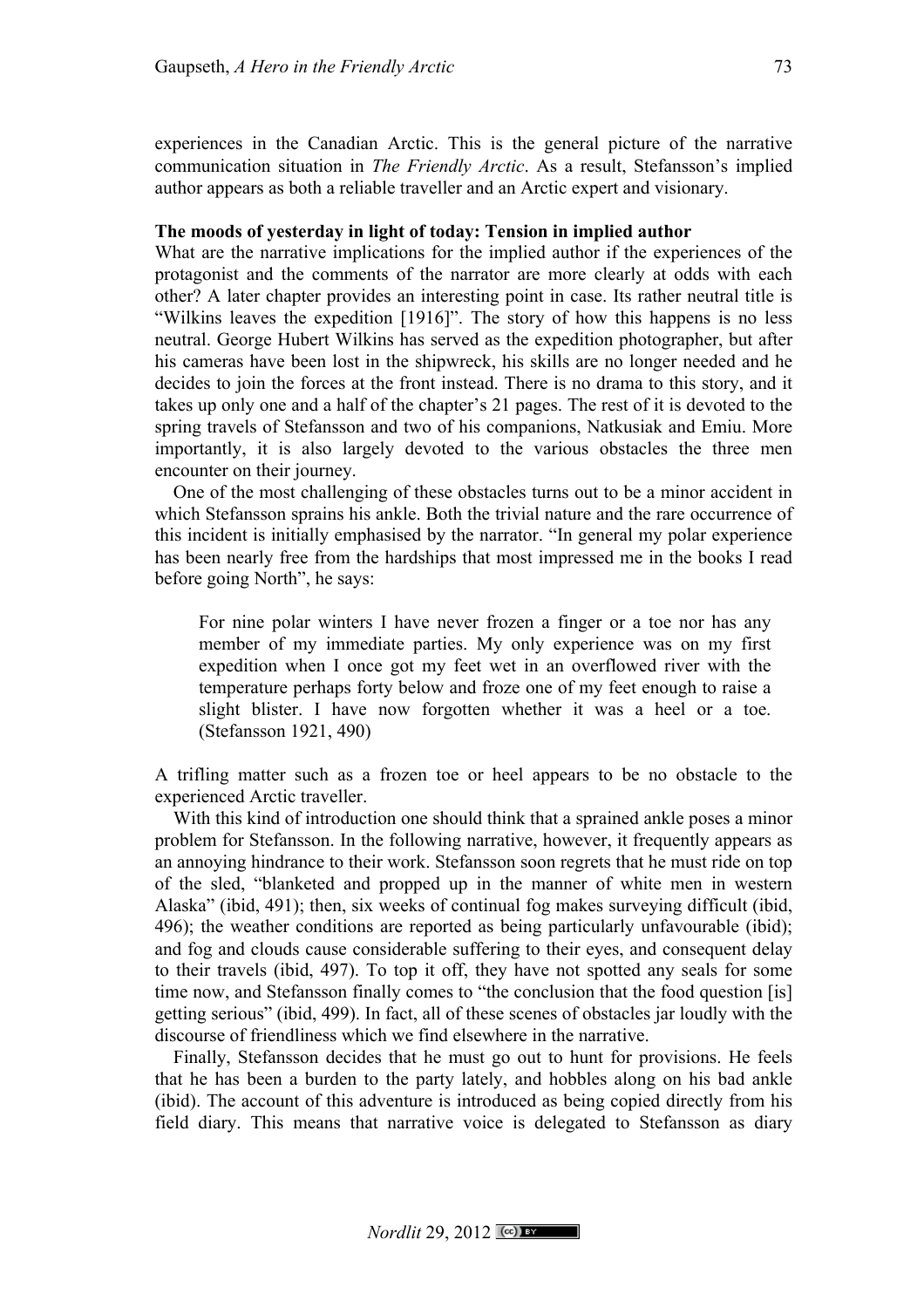experiences in the Canadian Arctic. This is the general picture of the narrative communication situation in *The Friendly Arctic*. As a result, Stefansson's implied author appears as both a reliable traveller and an Arctic expert and visionary.

### **The moods of yesterday in light of today: Tension in implied author**

What are the narrative implications for the implied author if the experiences of the protagonist and the comments of the narrator are more clearly at odds with each other? A later chapter provides an interesting point in case. Its rather neutral title is "Wilkins leaves the expedition [1916]". The story of how this happens is no less neutral. George Hubert Wilkins has served as the expedition photographer, but after his cameras have been lost in the shipwreck, his skills are no longer needed and he decides to join the forces at the front instead. There is no drama to this story, and it takes up only one and a half of the chapter's 21 pages. The rest of it is devoted to the spring travels of Stefansson and two of his companions, Natkusiak and Emiu. More importantly, it is also largely devoted to the various obstacles the three men encounter on their journey.

One of the most challenging of these obstacles turns out to be a minor accident in which Stefansson sprains his ankle. Both the trivial nature and the rare occurrence of this incident is initially emphasised by the narrator. "In general my polar experience has been nearly free from the hardships that most impressed me in the books I read before going North", he says:

For nine polar winters I have never frozen a finger or a toe nor has any member of my immediate parties. My only experience was on my first expedition when I once got my feet wet in an overflowed river with the temperature perhaps forty below and froze one of my feet enough to raise a slight blister. I have now forgotten whether it was a heel or a toe. (Stefansson 1921, 490)

A trifling matter such as a frozen toe or heel appears to be no obstacle to the experienced Arctic traveller.

With this kind of introduction one should think that a sprained ankle poses a minor problem for Stefansson. In the following narrative, however, it frequently appears as an annoying hindrance to their work. Stefansson soon regrets that he must ride on top of the sled, "blanketed and propped up in the manner of white men in western Alaska" (ibid, 491); then, six weeks of continual fog makes surveying difficult (ibid, 496); the weather conditions are reported as being particularly unfavourable (ibid); and fog and clouds cause considerable suffering to their eyes, and consequent delay to their travels (ibid, 497). To top it off, they have not spotted any seals for some time now, and Stefansson finally comes to "the conclusion that the food question [is] getting serious" (ibid, 499). In fact, all of these scenes of obstacles jar loudly with the discourse of friendliness which we find elsewhere in the narrative.

Finally, Stefansson decides that he must go out to hunt for provisions. He feels that he has been a burden to the party lately, and hobbles along on his bad ankle (ibid). The account of this adventure is introduced as being copied directly from his field diary. This means that narrative voice is delegated to Stefansson as diary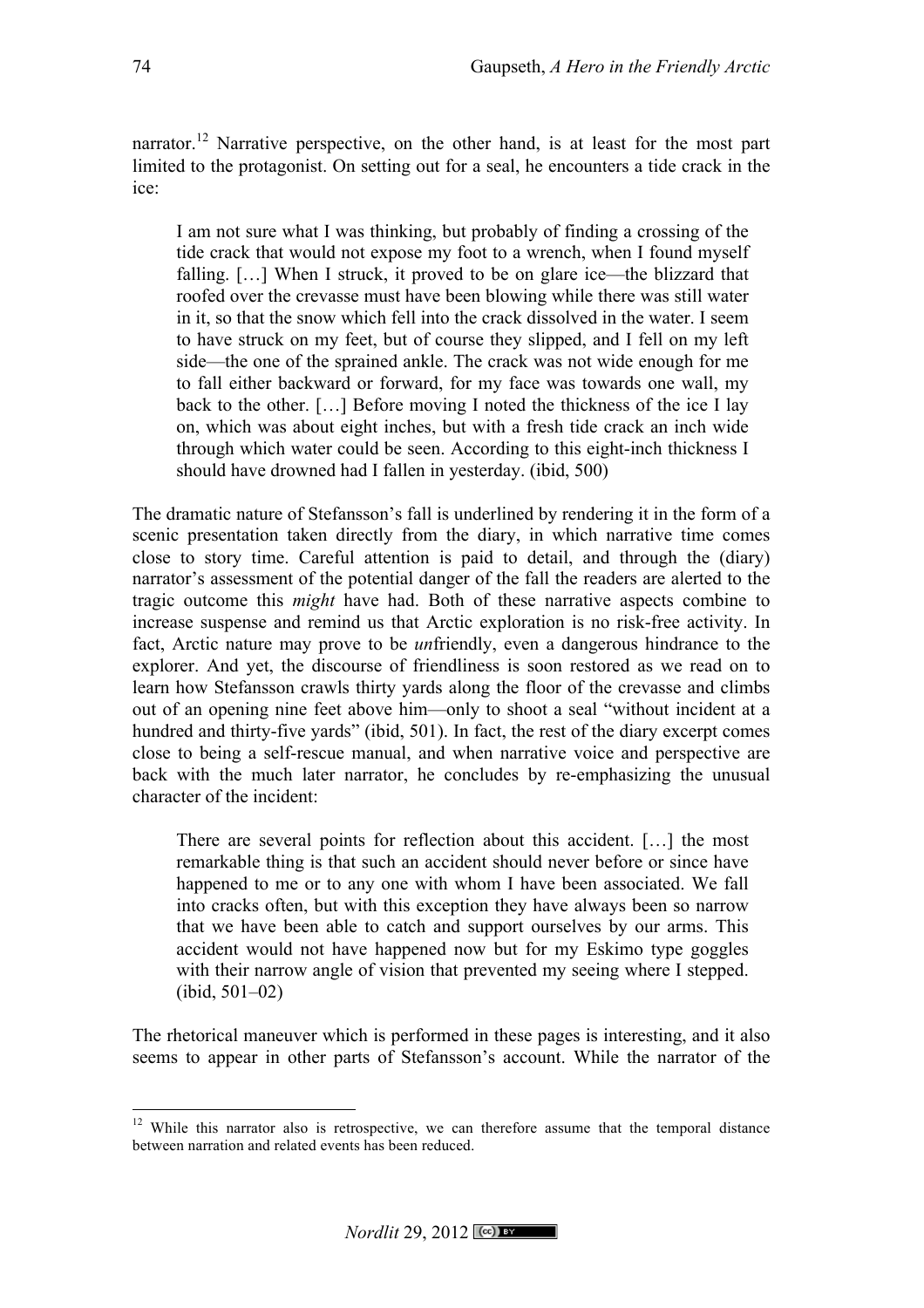narrator.<sup>12</sup> Narrative perspective, on the other hand, is at least for the most part limited to the protagonist. On setting out for a seal, he encounters a tide crack in the ice:

I am not sure what I was thinking, but probably of finding a crossing of the tide crack that would not expose my foot to a wrench, when I found myself falling. […] When I struck, it proved to be on glare ice—the blizzard that roofed over the crevasse must have been blowing while there was still water in it, so that the snow which fell into the crack dissolved in the water. I seem to have struck on my feet, but of course they slipped, and I fell on my left side—the one of the sprained ankle. The crack was not wide enough for me to fall either backward or forward, for my face was towards one wall, my back to the other. […] Before moving I noted the thickness of the ice I lay on, which was about eight inches, but with a fresh tide crack an inch wide through which water could be seen. According to this eight-inch thickness I should have drowned had I fallen in yesterday. (ibid, 500)

The dramatic nature of Stefansson's fall is underlined by rendering it in the form of a scenic presentation taken directly from the diary, in which narrative time comes close to story time. Careful attention is paid to detail, and through the (diary) narrator's assessment of the potential danger of the fall the readers are alerted to the tragic outcome this *might* have had. Both of these narrative aspects combine to increase suspense and remind us that Arctic exploration is no risk-free activity. In fact, Arctic nature may prove to be *un*friendly, even a dangerous hindrance to the explorer. And yet, the discourse of friendliness is soon restored as we read on to learn how Stefansson crawls thirty yards along the floor of the crevasse and climbs out of an opening nine feet above him—only to shoot a seal "without incident at a hundred and thirty-five yards" (ibid, 501). In fact, the rest of the diary excerpt comes close to being a self-rescue manual, and when narrative voice and perspective are back with the much later narrator, he concludes by re-emphasizing the unusual character of the incident:

There are several points for reflection about this accident. […] the most remarkable thing is that such an accident should never before or since have happened to me or to any one with whom I have been associated. We fall into cracks often, but with this exception they have always been so narrow that we have been able to catch and support ourselves by our arms. This accident would not have happened now but for my Eskimo type goggles with their narrow angle of vision that prevented my seeing where I stepped. (ibid, 501–02)

The rhetorical maneuver which is performed in these pages is interesting, and it also seems to appear in other parts of Stefansson's account. While the narrator of the

<sup>&</sup>lt;sup>12</sup> While this narrator also is retrospective, we can therefore assume that the temporal distance between narration and related events has been reduced.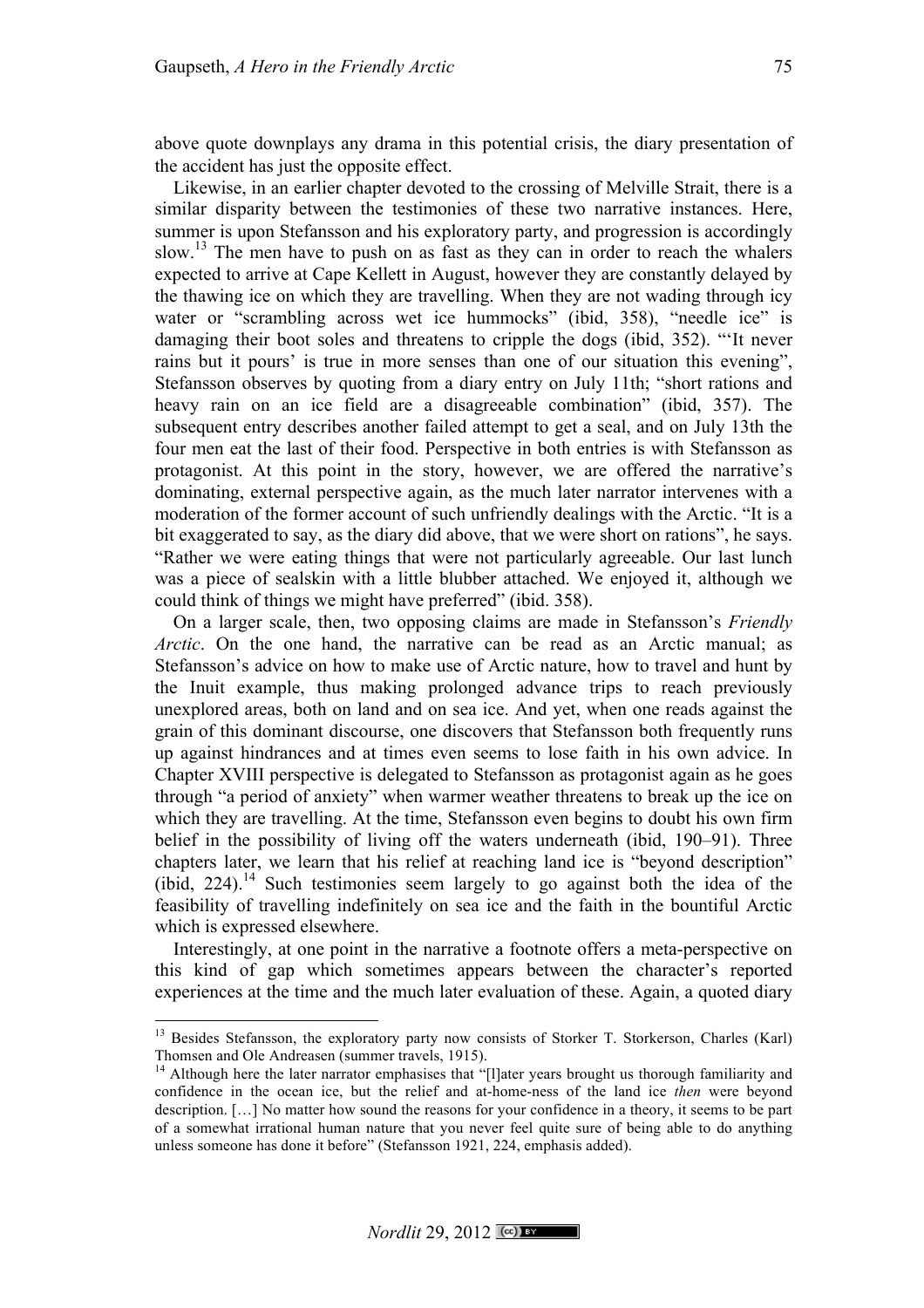above quote downplays any drama in this potential crisis, the diary presentation of the accident has just the opposite effect.

Likewise, in an earlier chapter devoted to the crossing of Melville Strait, there is a similar disparity between the testimonies of these two narrative instances. Here, summer is upon Stefansson and his exploratory party, and progression is accordingly slow.<sup>13</sup> The men have to push on as fast as they can in order to reach the whalers expected to arrive at Cape Kellett in August, however they are constantly delayed by the thawing ice on which they are travelling. When they are not wading through icy water or "scrambling across wet ice hummocks" (ibid, 358), "needle ice" is damaging their boot soles and threatens to cripple the dogs (ibid, 352). "'It never rains but it pours' is true in more senses than one of our situation this evening", Stefansson observes by quoting from a diary entry on July 11th; "short rations and heavy rain on an ice field are a disagreeable combination" (ibid, 357). The subsequent entry describes another failed attempt to get a seal, and on July 13th the four men eat the last of their food. Perspective in both entries is with Stefansson as protagonist. At this point in the story, however, we are offered the narrative's dominating, external perspective again, as the much later narrator intervenes with a moderation of the former account of such unfriendly dealings with the Arctic. "It is a bit exaggerated to say, as the diary did above, that we were short on rations", he says. "Rather we were eating things that were not particularly agreeable. Our last lunch was a piece of sealskin with a little blubber attached. We enjoyed it, although we could think of things we might have preferred" (ibid. 358).

On a larger scale, then, two opposing claims are made in Stefansson's *Friendly Arctic*. On the one hand, the narrative can be read as an Arctic manual; as Stefansson's advice on how to make use of Arctic nature, how to travel and hunt by the Inuit example, thus making prolonged advance trips to reach previously unexplored areas, both on land and on sea ice. And yet, when one reads against the grain of this dominant discourse, one discovers that Stefansson both frequently runs up against hindrances and at times even seems to lose faith in his own advice. In Chapter XVIII perspective is delegated to Stefansson as protagonist again as he goes through "a period of anxiety" when warmer weather threatens to break up the ice on which they are travelling. At the time, Stefansson even begins to doubt his own firm belief in the possibility of living off the waters underneath (ibid, 190–91). Three chapters later, we learn that his relief at reaching land ice is "beyond description" (ibid,  $224$ ).<sup>14</sup> Such testimonies seem largely to go against both the idea of the feasibility of travelling indefinitely on sea ice and the faith in the bountiful Arctic which is expressed elsewhere.

Interestingly, at one point in the narrative a footnote offers a meta-perspective on this kind of gap which sometimes appears between the character's reported experiences at the time and the much later evaluation of these. Again, a quoted diary

<sup>&</sup>lt;sup>13</sup> Besides Stefansson, the exploratory party now consists of Storker T. Storkerson, Charles (Karl) Thomsen and Ole Andreasen (summer travels, 1915).

<sup>&</sup>lt;sup>14</sup> Although here the later narrator emphasises that "[l]ater years brought us thorough familiarity and confidence in the ocean ice, but the relief and at-home-ness of the land ice *then* were beyond description. […] No matter how sound the reasons for your confidence in a theory, it seems to be part of a somewhat irrational human nature that you never feel quite sure of being able to do anything unless someone has done it before" (Stefansson 1921, 224, emphasis added).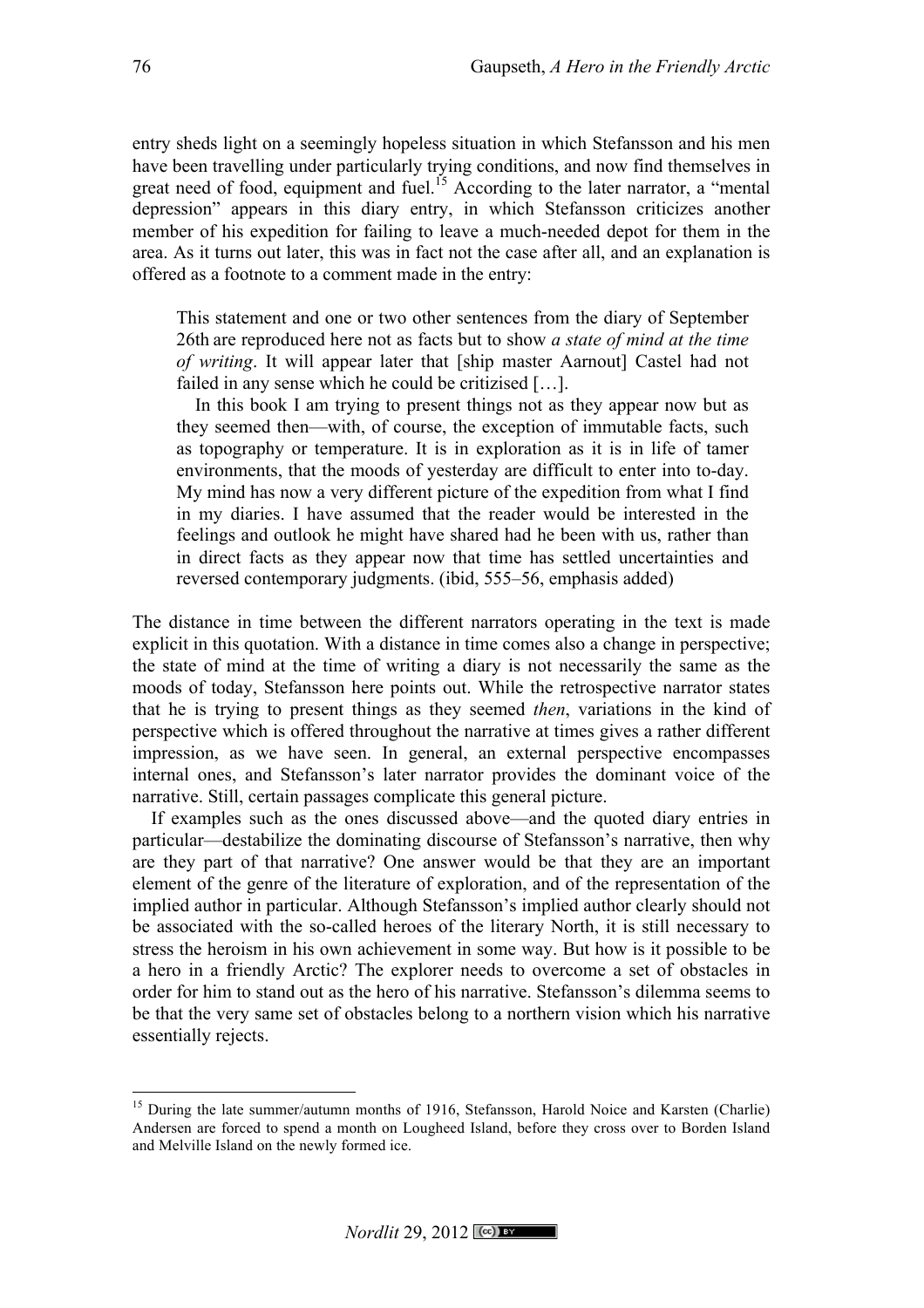entry sheds light on a seemingly hopeless situation in which Stefansson and his men have been travelling under particularly trying conditions, and now find themselves in great need of food, equipment and fuel.<sup>15</sup> According to the later narrator, a "mental" depression" appears in this diary entry, in which Stefansson criticizes another member of his expedition for failing to leave a much-needed depot for them in the area. As it turns out later, this was in fact not the case after all, and an explanation is offered as a footnote to a comment made in the entry:

This statement and one or two other sentences from the diary of September 26th are reproduced here not as facts but to show *a state of mind at the time of writing*. It will appear later that [ship master Aarnout] Castel had not failed in any sense which he could be critizised […].

In this book I am trying to present things not as they appear now but as they seemed then—with, of course, the exception of immutable facts, such as topography or temperature. It is in exploration as it is in life of tamer environments, that the moods of yesterday are difficult to enter into to-day. My mind has now a very different picture of the expedition from what I find in my diaries. I have assumed that the reader would be interested in the feelings and outlook he might have shared had he been with us, rather than in direct facts as they appear now that time has settled uncertainties and reversed contemporary judgments. (ibid, 555–56, emphasis added)

The distance in time between the different narrators operating in the text is made explicit in this quotation. With a distance in time comes also a change in perspective; the state of mind at the time of writing a diary is not necessarily the same as the moods of today, Stefansson here points out. While the retrospective narrator states that he is trying to present things as they seemed *then*, variations in the kind of perspective which is offered throughout the narrative at times gives a rather different impression, as we have seen. In general, an external perspective encompasses internal ones, and Stefansson's later narrator provides the dominant voice of the narrative. Still, certain passages complicate this general picture.

If examples such as the ones discussed above—and the quoted diary entries in particular—destabilize the dominating discourse of Stefansson's narrative, then why are they part of that narrative? One answer would be that they are an important element of the genre of the literature of exploration, and of the representation of the implied author in particular. Although Stefansson's implied author clearly should not be associated with the so-called heroes of the literary North, it is still necessary to stress the heroism in his own achievement in some way. But how is it possible to be a hero in a friendly Arctic? The explorer needs to overcome a set of obstacles in order for him to stand out as the hero of his narrative. Stefansson's dilemma seems to be that the very same set of obstacles belong to a northern vision which his narrative essentially rejects.

<sup>&</sup>lt;sup>15</sup> During the late summer/autumn months of 1916, Stefansson, Harold Noice and Karsten (Charlie) Andersen are forced to spend a month on Lougheed Island, before they cross over to Borden Island and Melville Island on the newly formed ice.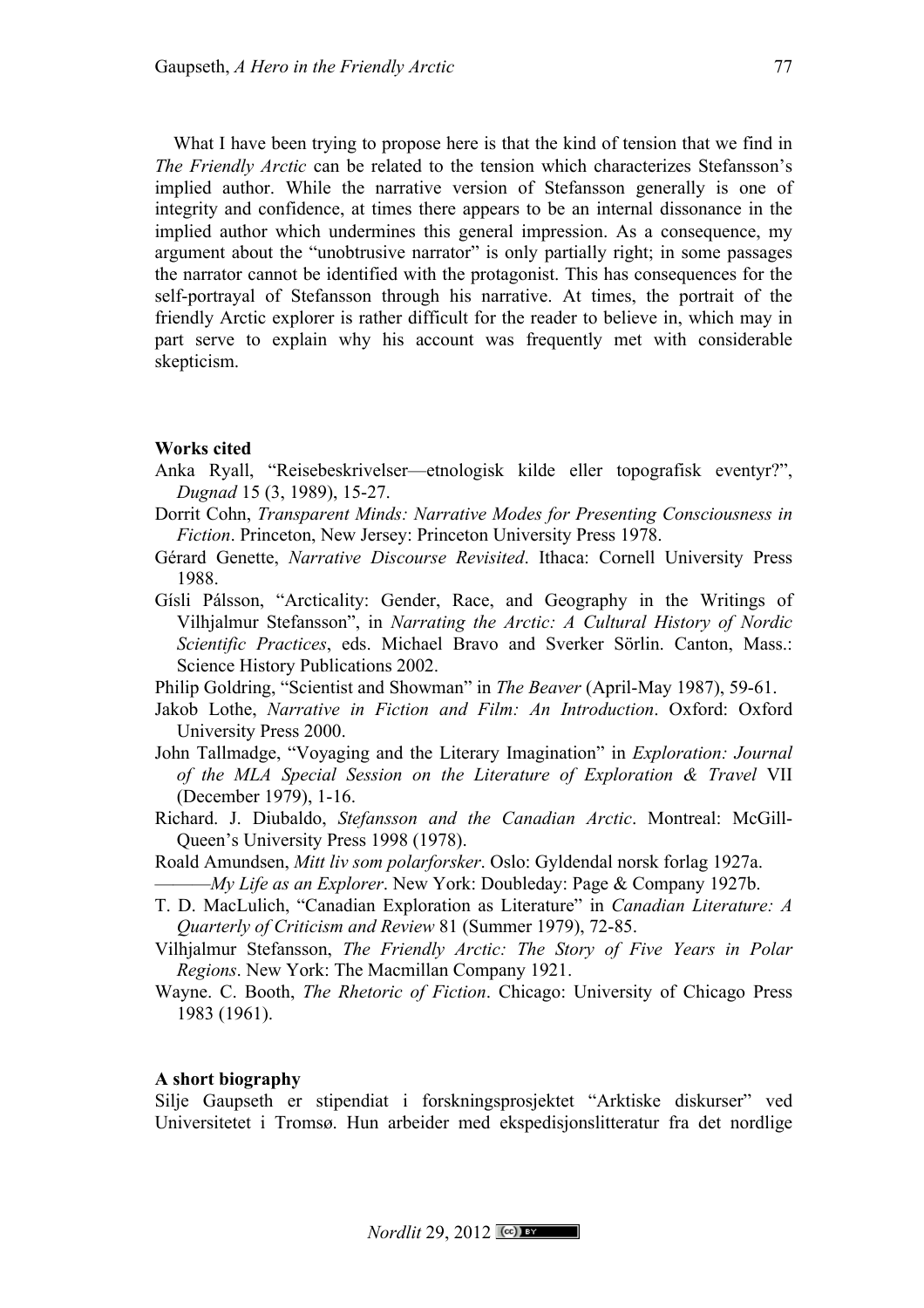What I have been trying to propose here is that the kind of tension that we find in *The Friendly Arctic* can be related to the tension which characterizes Stefansson's implied author. While the narrative version of Stefansson generally is one of integrity and confidence, at times there appears to be an internal dissonance in the implied author which undermines this general impression. As a consequence, my argument about the "unobtrusive narrator" is only partially right; in some passages the narrator cannot be identified with the protagonist. This has consequences for the self-portrayal of Stefansson through his narrative. At times, the portrait of the friendly Arctic explorer is rather difficult for the reader to believe in, which may in part serve to explain why his account was frequently met with considerable skepticism.

### **Works cited**

- Anka Ryall, "Reisebeskrivelser—etnologisk kilde eller topografisk eventyr?", *Dugnad* 15 (3, 1989), 15-27.
- Dorrit Cohn, *Transparent Minds: Narrative Modes for Presenting Consciousness in Fiction*. Princeton, New Jersey: Princeton University Press 1978.
- Gérard Genette, *Narrative Discourse Revisited*. Ithaca: Cornell University Press 1988.
- Gísli Pálsson, "Arcticality: Gender, Race, and Geography in the Writings of Vilhjalmur Stefansson", in *Narrating the Arctic: A Cultural History of Nordic Scientific Practices*, eds. Michael Bravo and Sverker Sörlin. Canton, Mass.: Science History Publications 2002.

Philip Goldring, "Scientist and Showman" in *The Beaver* (April-May 1987), 59-61.

- Jakob Lothe, *Narrative in Fiction and Film: An Introduction*. Oxford: Oxford University Press 2000.
- John Tallmadge, "Voyaging and the Literary Imagination" in *Exploration: Journal of the MLA Special Session on the Literature of Exploration & Travel* VII (December 1979), 1-16.
- Richard. J. Diubaldo, *Stefansson and the Canadian Arctic*. Montreal: McGill-Queen's University Press 1998 (1978).
- Roald Amundsen, *Mitt liv som polarforsker*. Oslo: Gyldendal norsk forlag 1927a. ———*My Life as an Explorer*. New York: Doubleday: Page & Company 1927b.
- T. D. MacLulich, "Canadian Exploration as Literature" in *Canadian Literature: A Quarterly of Criticism and Review* 81 (Summer 1979), 72-85.
- Vilhjalmur Stefansson, *The Friendly Arctic: The Story of Five Years in Polar Regions*. New York: The Macmillan Company 1921.
- Wayne. C. Booth, *The Rhetoric of Fiction*. Chicago: University of Chicago Press 1983 (1961).

### **A short biography**

Silje Gaupseth er stipendiat i forskningsprosjektet "Arktiske diskurser" ved Universitetet i Tromsø. Hun arbeider med ekspedisjonslitteratur fra det nordlige